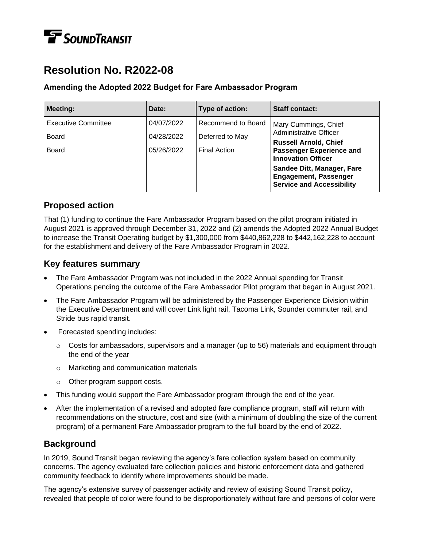# **TE** SOUNDTRANSIT

## **Resolution No. R2022-08**

#### **Amending the Adopted 2022 Budget for Fare Ambassador Program**

| <b>Meeting:</b>            | Date:      | Type of action:     | <b>Staff contact:</b>                                                                          |
|----------------------------|------------|---------------------|------------------------------------------------------------------------------------------------|
| <b>Executive Committee</b> | 04/07/2022 | Recommend to Board  | Mary Cummings, Chief<br>Administrative Officer<br><b>Russell Arnold, Chief</b>                 |
| Board                      | 04/28/2022 | Deferred to May     |                                                                                                |
| Board                      | 05/26/2022 | <b>Final Action</b> | <b>Passenger Experience and</b><br><b>Innovation Officer</b>                                   |
|                            |            |                     | Sandee Ditt, Manager, Fare<br><b>Engagement, Passenger</b><br><b>Service and Accessibility</b> |

#### **Proposed action**

That (1) funding to continue the Fare Ambassador Program based on the pilot program initiated in August 2021 is approved through December 31, 2022 and (2) amends the Adopted 2022 Annual Budget to increase the Transit Operating budget by \$1,300,000 from \$440,862,228 to \$442,162,228 to account for the establishment and delivery of the Fare Ambassador Program in 2022.

#### **Key features summary**

- The Fare Ambassador Program was not included in the 2022 Annual spending for Transit Operations pending the outcome of the Fare Ambassador Pilot program that began in August 2021.
- The Fare Ambassador Program will be administered by the Passenger Experience Division within the Executive Department and will cover Link light rail, Tacoma Link, Sounder commuter rail, and Stride bus rapid transit.
- Forecasted spending includes:
	- $\circ$  Costs for ambassadors, supervisors and a manager (up to 56) materials and equipment through the end of the year
	- o Marketing and communication materials
	- o Other program support costs.
- This funding would support the Fare Ambassador program through the end of the year.
- After the implementation of a revised and adopted fare compliance program, staff will return with recommendations on the structure, cost and size (with a minimum of doubling the size of the current program) of a permanent Fare Ambassador program to the full board by the end of 2022.

#### **Background**

In 2019, Sound Transit began reviewing the agency's fare collection system based on community concerns. The agency evaluated fare collection policies and historic enforcement data and gathered community feedback to identify where improvements should be made.

The agency's extensive survey of passenger activity and review of existing Sound Transit policy, revealed that people of color were found to be disproportionately without fare and persons of color were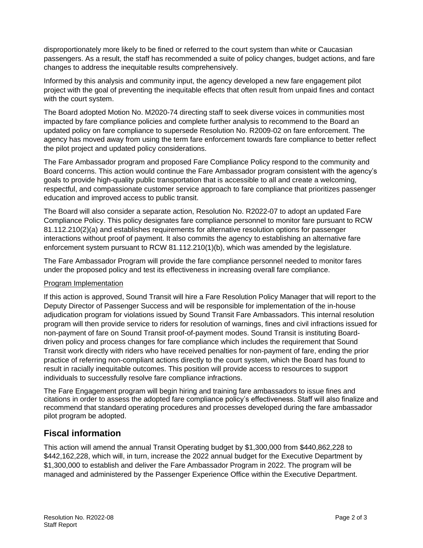disproportionately more likely to be fined or referred to the court system than white or Caucasian passengers. As a result, the staff has recommended a suite of policy changes, budget actions, and fare changes to address the inequitable results comprehensively.

Informed by this analysis and community input, the agency developed a new fare engagement pilot project with the goal of preventing the inequitable effects that often result from unpaid fines and contact with the court system.

The Board adopted Motion No. M2020-74 directing staff to seek diverse voices in communities most impacted by fare compliance policies and complete further analysis to recommend to the Board an updated policy on fare compliance to supersede Resolution No. R2009-02 on fare enforcement. The agency has moved away from using the term fare enforcement towards fare compliance to better reflect the pilot project and updated policy considerations.

The Fare Ambassador program and proposed Fare Compliance Policy respond to the community and Board concerns. This action would continue the Fare Ambassador program consistent with the agency's goals to provide high-quality public transportation that is accessible to all and create a welcoming, respectful, and compassionate customer service approach to fare compliance that prioritizes passenger education and improved access to public transit.

The Board will also consider a separate action, Resolution No. R2022-07 to adopt an updated Fare Compliance Policy. This policy designates fare compliance personnel to monitor fare pursuant to RCW 81.112.210(2)(a) and establishes requirements for alternative resolution options for passenger interactions without proof of payment. It also commits the agency to establishing an alternative fare enforcement system pursuant to RCW 81.112.210(1)(b), which was amended by the legislature.

The Fare Ambassador Program will provide the fare compliance personnel needed to monitor fares under the proposed policy and test its effectiveness in increasing overall fare compliance.

#### Program Implementation

If this action is approved, Sound Transit will hire a Fare Resolution Policy Manager that will report to the Deputy Director of Passenger Success and will be responsible for implementation of the in-house adjudication program for violations issued by Sound Transit Fare Ambassadors. This internal resolution program will then provide service to riders for resolution of warnings, fines and civil infractions issued for non-payment of fare on Sound Transit proof-of-payment modes. Sound Transit is instituting Boarddriven policy and process changes for fare compliance which includes the requirement that Sound Transit work directly with riders who have received penalties for non-payment of fare, ending the prior practice of referring non-compliant actions directly to the court system, which the Board has found to result in racially inequitable outcomes. This position will provide access to resources to support individuals to successfully resolve fare compliance infractions.

The Fare Engagement program will begin hiring and training fare ambassadors to issue fines and citations in order to assess the adopted fare compliance policy's effectiveness. Staff will also finalize and recommend that standard operating procedures and processes developed during the fare ambassador pilot program be adopted.

### **Fiscal information**

This action will amend the annual Transit Operating budget by \$1,300,000 from \$440,862,228 to \$442,162,228, which will, in turn, increase the 2022 annual budget for the Executive Department by \$1,300,000 to establish and deliver the Fare Ambassador Program in 2022. The program will be managed and administered by the Passenger Experience Office within the Executive Department.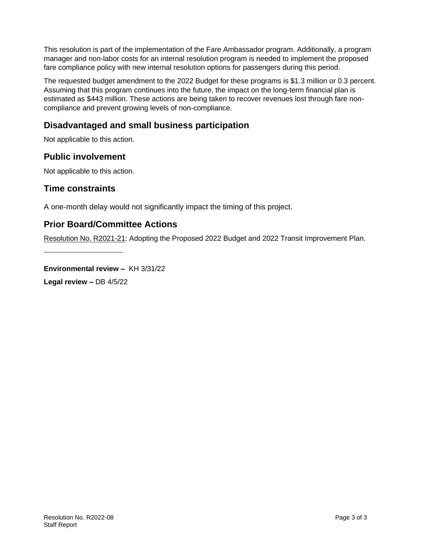This resolution is part of the implementation of the Fare Ambassador program. Additionally, a program manager and non-labor costs for an internal resolution program is needed to implement the proposed fare compliance policy with new internal resolution options for passengers during this period.

The requested budget amendment to the 2022 Budget for these programs is \$1.3 million or 0.3 percent. Assuming that this program continues into the future, the impact on the long-term financial plan is estimated as \$443 million. These actions are being taken to recover revenues lost through fare noncompliance and prevent growing levels of non-compliance.

### **Disadvantaged and small business participation**

Not applicable to this action.

#### **Public involvement**

Not applicable to this action.

#### **Time constraints**

A one-month delay would not significantly impact the timing of this project.

#### **Prior Board/Committee Actions**

Resolution No. R2021-21: Adopting the Proposed 2022 Budget and 2022 Transit Improvement Plan.

**Environmental review –** KH 3/31/22

**Legal review –** DB 4/5/22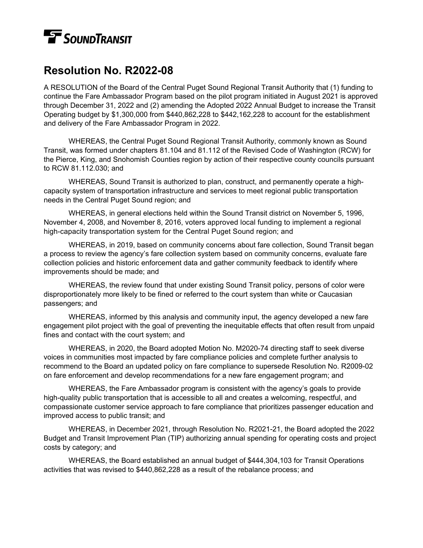# **TE** SOUNDTRANSIT

## **Resolution No. R2022-08**

A RESOLUTION of the Board of the Central Puget Sound Regional Transit Authority that (1) funding to continue the Fare Ambassador Program based on the pilot program initiated in August 2021 is approved through December 31, 2022 and (2) amending the Adopted 2022 Annual Budget to increase the Transit Operating budget by \$1,300,000 from \$440,862,228 to \$442,162,228 to account for the establishment and delivery of the Fare Ambassador Program in 2022.

WHEREAS, the Central Puget Sound Regional Transit Authority, commonly known as Sound Transit, was formed under chapters 81.104 and 81.112 of the Revised Code of Washington (RCW) for the Pierce, King, and Snohomish Counties region by action of their respective county councils pursuant to RCW 81.112.030; and

WHEREAS, Sound Transit is authorized to plan, construct, and permanently operate a highcapacity system of transportation infrastructure and services to meet regional public transportation needs in the Central Puget Sound region; and

WHEREAS, in general elections held within the Sound Transit district on November 5, 1996, November 4, 2008, and November 8, 2016, voters approved local funding to implement a regional high-capacity transportation system for the Central Puget Sound region; and

WHEREAS, in 2019, based on community concerns about fare collection, Sound Transit began a process to review the agency's fare collection system based on community concerns, evaluate fare collection policies and historic enforcement data and gather community feedback to identify where improvements should be made; and

WHEREAS, the review found that under existing Sound Transit policy, persons of color were disproportionately more likely to be fined or referred to the court system than white or Caucasian passengers; and

WHEREAS, informed by this analysis and community input, the agency developed a new fare engagement pilot project with the goal of preventing the inequitable effects that often result from unpaid fines and contact with the court system; and

WHEREAS, in 2020, the Board adopted Motion No. M2020-74 directing staff to seek diverse voices in communities most impacted by fare compliance policies and complete further analysis to recommend to the Board an updated policy on fare compliance to supersede Resolution No. R2009-02 on fare enforcement and develop recommendations for a new fare engagement program; and

WHEREAS, the Fare Ambassador program is consistent with the agency's goals to provide high-quality public transportation that is accessible to all and creates a welcoming, respectful, and compassionate customer service approach to fare compliance that prioritizes passenger education and improved access to public transit; and

WHEREAS, in December 2021, through Resolution No. R2021-21, the Board adopted the 2022 Budget and Transit Improvement Plan (TIP) authorizing annual spending for operating costs and project costs by category; and

WHEREAS, the Board established an annual budget of \$444,304,103 for Transit Operations activities that was revised to \$440,862,228 as a result of the rebalance process; and